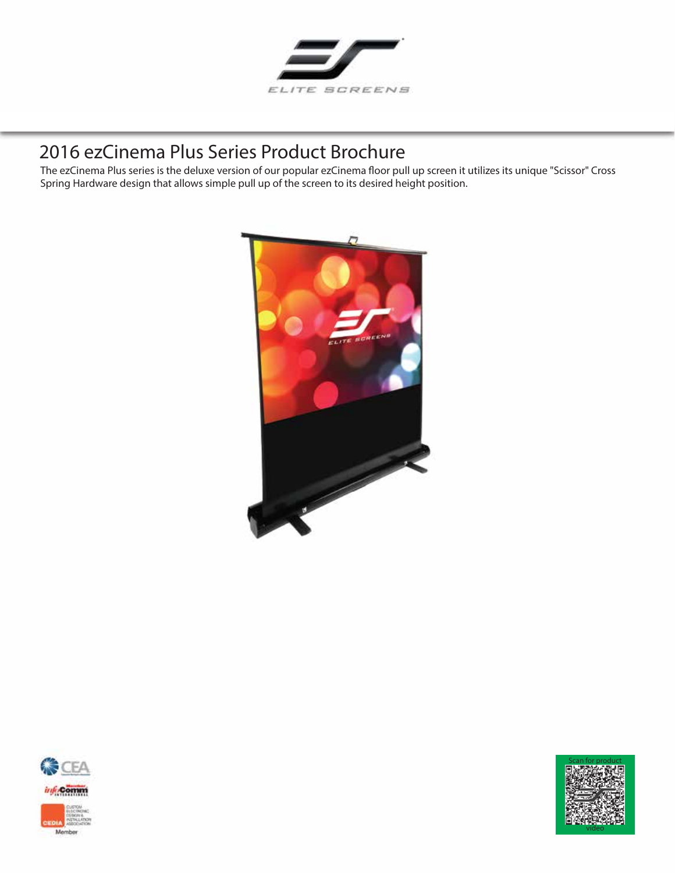

# 2016 **ezCinema Plus Series** Product Brochure

The ezCinema Plus series is the deluxe version of our popular ezCinema floor pull up screen it utilizes its unique "Scissor" Cross Spring Hardware design that allows simple pull up of the screen to its desired height position.





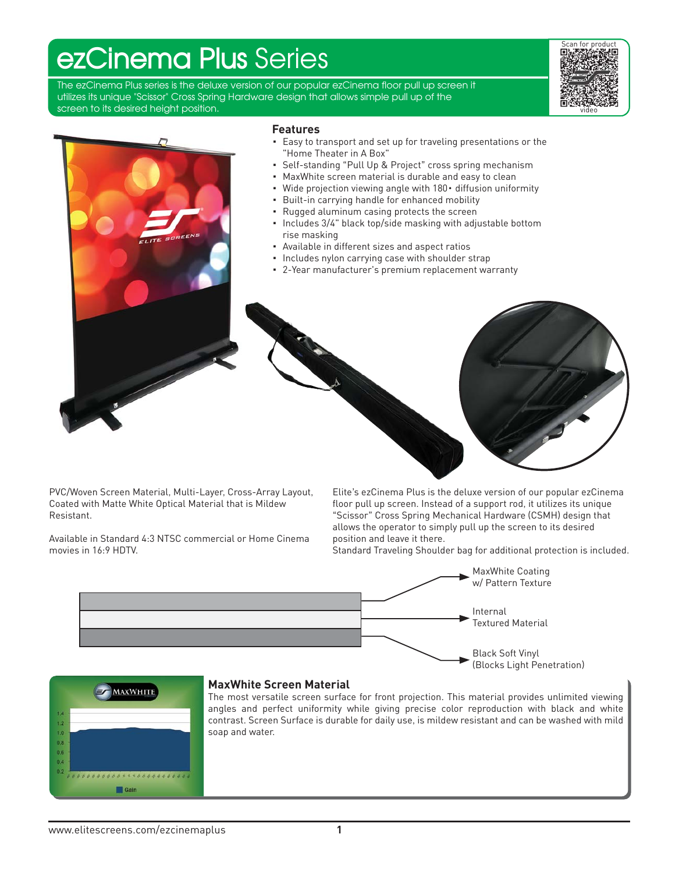# **ezCinema Plus** Series

The ezCinema Plus series is the deluxe version of our popular ezCinema floor pull up screen it utilizes its unique "Scissor" Cross Spring Hardware design that allows simple pull up of the screen to its desired height position.





PVC/Woven Screen Material, Multi-Layer, Cross-Array Layout, Coated with Matte White Optical Material that is Mildew Resistant.

Available in Standard 4:3 NTSC commercial or Home Cinema movies in 16:9 HDTV.

Elite's ezCinema Plus is the deluxe version of our popular ezCinema floor pull up screen. Instead of a support rod, it utilizes its unique "Scissor" Cross Spring Mechanical Hardware (CSMH) design that allows the operator to simply pull up the screen to its desired position and leave it there.

Standard Traveling Shoulder bag for additional protection is included.





## **MaxWhite Screen Material**

The most versatile screen surface for front projection. This material provides unlimited viewing angles and perfect uniformity while giving precise color reproduction with black and white contrast. Screen Surface is durable for daily use, is mildew resistant and can be washed with mild soap and water.